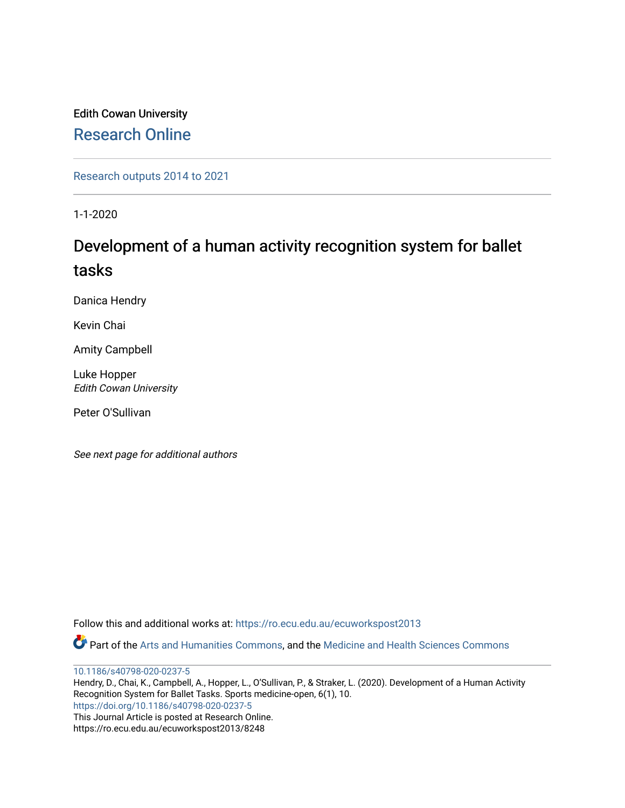Edith Cowan University [Research Online](https://ro.ecu.edu.au/) 

[Research outputs 2014 to 2021](https://ro.ecu.edu.au/ecuworkspost2013) 

1-1-2020

# Development of a human activity recognition system for ballet tasks

Danica Hendry

Kevin Chai

Amity Campbell

Luke Hopper Edith Cowan University

Peter O'Sullivan

See next page for additional authors

Follow this and additional works at: [https://ro.ecu.edu.au/ecuworkspost2013](https://ro.ecu.edu.au/ecuworkspost2013?utm_source=ro.ecu.edu.au%2Fecuworkspost2013%2F8248&utm_medium=PDF&utm_campaign=PDFCoverPages) 

Part of the [Arts and Humanities Commons,](http://network.bepress.com/hgg/discipline/438?utm_source=ro.ecu.edu.au%2Fecuworkspost2013%2F8248&utm_medium=PDF&utm_campaign=PDFCoverPages) and the [Medicine and Health Sciences Commons](http://network.bepress.com/hgg/discipline/648?utm_source=ro.ecu.edu.au%2Fecuworkspost2013%2F8248&utm_medium=PDF&utm_campaign=PDFCoverPages)

[10.1186/s40798-020-0237-5](http://dx.doi.org/10.1186/s40798-020-0237-5)

Hendry, D., Chai, K., Campbell, A., Hopper, L., O'Sullivan, P., & Straker, L. (2020). Development of a Human Activity Recognition System for Ballet Tasks. Sports medicine-open, 6(1), 10. <https://doi.org/10.1186/s40798-020-0237-5> This Journal Article is posted at Research Online. https://ro.ecu.edu.au/ecuworkspost2013/8248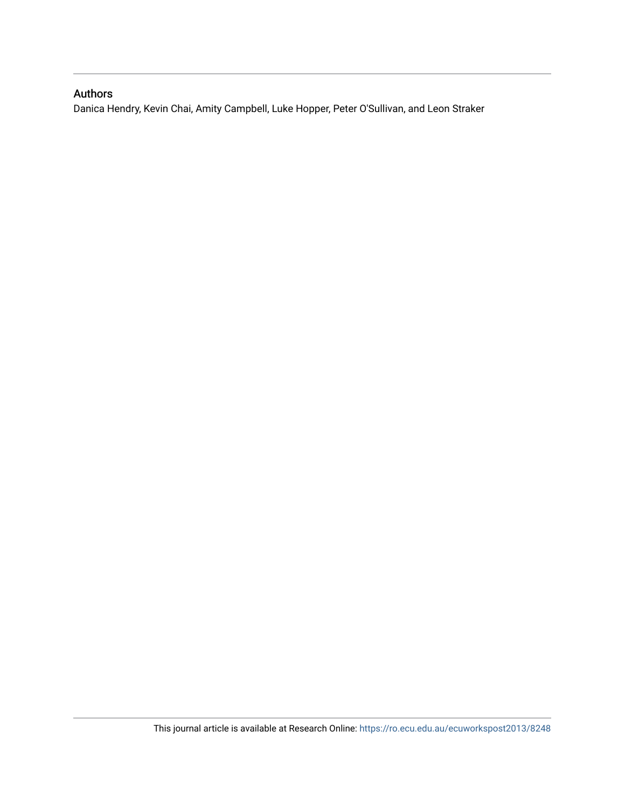# Authors

Danica Hendry, Kevin Chai, Amity Campbell, Luke Hopper, Peter O'Sullivan, and Leon Straker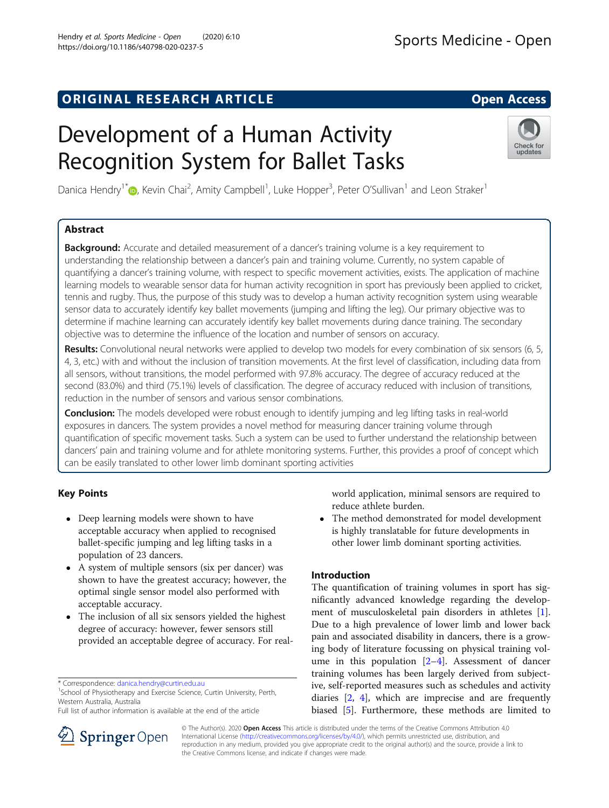# ORIGINAL RESEARCH ARTICLE **External in the Second Access**

# Development of a Human Activity Recognition System for Ballet Tasks

Danica Hendry<sup>1[\\*](http://orcid.org/0000-0001-8701-2212)</sup>®, Kevin Chai<sup>2</sup>, Amity Campbell<sup>1</sup>, Luke Hopper<sup>3</sup>, Peter O'Sullivan<sup>1</sup> and Leon Straker<sup>1</sup>

# Abstract

**Background:** Accurate and detailed measurement of a dancer's training volume is a key requirement to understanding the relationship between a dancer's pain and training volume. Currently, no system capable of quantifying a dancer's training volume, with respect to specific movement activities, exists. The application of machine learning models to wearable sensor data for human activity recognition in sport has previously been applied to cricket, tennis and rugby. Thus, the purpose of this study was to develop a human activity recognition system using wearable sensor data to accurately identify key ballet movements (jumping and lifting the leg). Our primary objective was to determine if machine learning can accurately identify key ballet movements during dance training. The secondary objective was to determine the influence of the location and number of sensors on accuracy.

Results: Convolutional neural networks were applied to develop two models for every combination of six sensors (6, 5, 4, 3, etc.) with and without the inclusion of transition movements. At the first level of classification, including data from all sensors, without transitions, the model performed with 97.8% accuracy. The degree of accuracy reduced at the second (83.0%) and third (75.1%) levels of classification. The degree of accuracy reduced with inclusion of transitions, reduction in the number of sensors and various sensor combinations.

**Conclusion:** The models developed were robust enough to identify jumping and leg lifting tasks in real-world exposures in dancers. The system provides a novel method for measuring dancer training volume through quantification of specific movement tasks. Such a system can be used to further understand the relationship between dancers' pain and training volume and for athlete monitoring systems. Further, this provides a proof of concept which can be easily translated to other lower limb dominant sporting activities

# Key Points

- Deep learning models were shown to have acceptable accuracy when applied to recognised ballet-specific jumping and leg lifting tasks in a population of 23 dancers.
- A system of multiple sensors (six per dancer) was shown to have the greatest accuracy; however, the optimal single sensor model also performed with acceptable accuracy.
- The inclusion of all six sensors yielded the highest degree of accuracy: however, fewer sensors still provided an acceptable degree of accuracy. For real-

\* Correspondence: [danica.hendry@curtin.edu.au](mailto:danica.hendry@curtin.edu.au) <sup>1</sup>

<sup>1</sup>School of Physiotherapy and Exercise Science, Curtin University, Perth, Western Australia, Australia

Full list of author information is available at the end of the article

© The Author(s). 2020 Open Access This article is distributed under the terms of the Creative Commons Attribution 4.0 International License ([http://creativecommons.org/licenses/by/4.0/\)](http://creativecommons.org/licenses/by/4.0/), which permits unrestricted use, distribution, and reproduction in any medium, provided you give appropriate credit to the original author(s) and the source, provide a link to the Creative Commons license, and indicate if changes were made.

### Introduction

reduce athlete burden.

The quantification of training volumes in sport has significantly advanced knowledge regarding the development of musculoskeletal pain disorders in athletes [\[1](#page-10-0)]. Due to a high prevalence of lower limb and lower back pain and associated disability in dancers, there is a growing body of literature focussing on physical training volume in this population  $[2-4]$  $[2-4]$  $[2-4]$  $[2-4]$  $[2-4]$ . Assessment of dancer training volumes has been largely derived from subjective, self-reported measures such as schedules and activity diaries [[2,](#page-11-0) [4\]](#page-11-0), which are imprecise and are frequently biased [\[5](#page-11-0)]. Furthermore, these methods are limited to

world application, minimal sensors are required to

 The method demonstrated for model development is highly translatable for future developments in other lower limb dominant sporting activities.





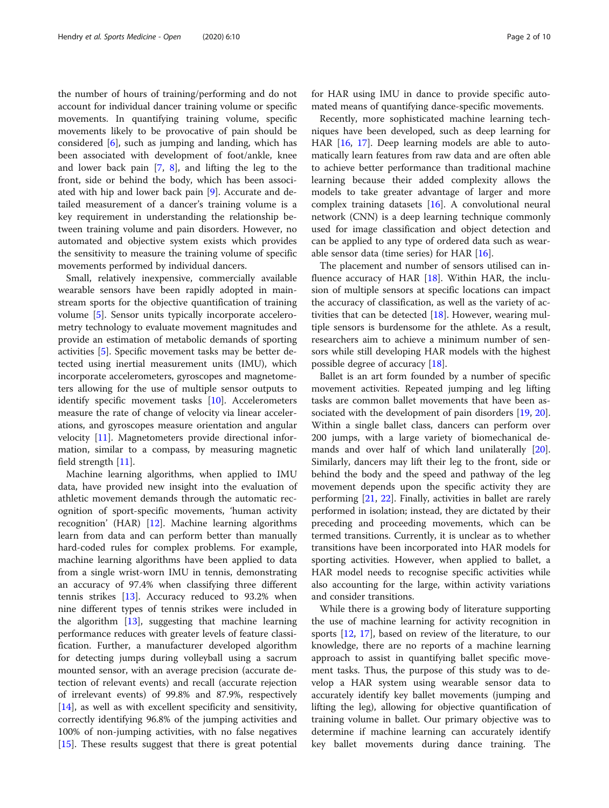the number of hours of training/performing and do not account for individual dancer training volume or specific movements. In quantifying training volume, specific movements likely to be provocative of pain should be considered [[6\]](#page-11-0), such as jumping and landing, which has been associated with development of foot/ankle, knee and lower back pain [[7,](#page-11-0) [8\]](#page-11-0), and lifting the leg to the front, side or behind the body, which has been associated with hip and lower back pain [\[9](#page-11-0)]. Accurate and detailed measurement of a dancer's training volume is a key requirement in understanding the relationship between training volume and pain disorders. However, no automated and objective system exists which provides the sensitivity to measure the training volume of specific movements performed by individual dancers.

Small, relatively inexpensive, commercially available wearable sensors have been rapidly adopted in mainstream sports for the objective quantification of training volume [\[5\]](#page-11-0). Sensor units typically incorporate accelerometry technology to evaluate movement magnitudes and provide an estimation of metabolic demands of sporting activities [[5\]](#page-11-0). Specific movement tasks may be better detected using inertial measurement units (IMU), which incorporate accelerometers, gyroscopes and magnetometers allowing for the use of multiple sensor outputs to identify specific movement tasks [\[10](#page-11-0)]. Accelerometers measure the rate of change of velocity via linear accelerations, and gyroscopes measure orientation and angular velocity [[11](#page-11-0)]. Magnetometers provide directional information, similar to a compass, by measuring magnetic field strength [[11\]](#page-11-0).

Machine learning algorithms, when applied to IMU data, have provided new insight into the evaluation of athletic movement demands through the automatic recognition of sport-specific movements, 'human activity recognition' (HAR) [\[12](#page-11-0)]. Machine learning algorithms learn from data and can perform better than manually hard-coded rules for complex problems. For example, machine learning algorithms have been applied to data from a single wrist-worn IMU in tennis, demonstrating an accuracy of 97.4% when classifying three different tennis strikes [\[13](#page-11-0)]. Accuracy reduced to 93.2% when nine different types of tennis strikes were included in the algorithm [[13](#page-11-0)], suggesting that machine learning performance reduces with greater levels of feature classification. Further, a manufacturer developed algorithm for detecting jumps during volleyball using a sacrum mounted sensor, with an average precision (accurate detection of relevant events) and recall (accurate rejection of irrelevant events) of 99.8% and 87.9%, respectively [[14\]](#page-11-0), as well as with excellent specificity and sensitivity, correctly identifying 96.8% of the jumping activities and 100% of non-jumping activities, with no false negatives [[15\]](#page-11-0). These results suggest that there is great potential for HAR using IMU in dance to provide specific automated means of quantifying dance-specific movements.

Recently, more sophisticated machine learning techniques have been developed, such as deep learning for HAR [[16,](#page-11-0) [17](#page-11-0)]. Deep learning models are able to automatically learn features from raw data and are often able to achieve better performance than traditional machine learning because their added complexity allows the models to take greater advantage of larger and more complex training datasets [[16\]](#page-11-0). A convolutional neural network (CNN) is a deep learning technique commonly used for image classification and object detection and can be applied to any type of ordered data such as wearable sensor data (time series) for HAR [[16\]](#page-11-0).

The placement and number of sensors utilised can in-fluence accuracy of HAR [\[18\]](#page-11-0). Within HAR, the inclusion of multiple sensors at specific locations can impact the accuracy of classification, as well as the variety of activities that can be detected [[18\]](#page-11-0). However, wearing multiple sensors is burdensome for the athlete. As a result, researchers aim to achieve a minimum number of sensors while still developing HAR models with the highest possible degree of accuracy [\[18](#page-11-0)].

Ballet is an art form founded by a number of specific movement activities. Repeated jumping and leg lifting tasks are common ballet movements that have been as-sociated with the development of pain disorders [\[19](#page-11-0), [20](#page-11-0)]. Within a single ballet class, dancers can perform over 200 jumps, with a large variety of biomechanical demands and over half of which land unilaterally [\[20](#page-11-0)]. Similarly, dancers may lift their leg to the front, side or behind the body and the speed and pathway of the leg movement depends upon the specific activity they are performing [\[21,](#page-11-0) [22](#page-11-0)]. Finally, activities in ballet are rarely performed in isolation; instead, they are dictated by their preceding and proceeding movements, which can be termed transitions. Currently, it is unclear as to whether transitions have been incorporated into HAR models for sporting activities. However, when applied to ballet, a HAR model needs to recognise specific activities while also accounting for the large, within activity variations and consider transitions.

While there is a growing body of literature supporting the use of machine learning for activity recognition in sports [\[12](#page-11-0), [17\]](#page-11-0), based on review of the literature, to our knowledge, there are no reports of a machine learning approach to assist in quantifying ballet specific movement tasks. Thus, the purpose of this study was to develop a HAR system using wearable sensor data to accurately identify key ballet movements (jumping and lifting the leg), allowing for objective quantification of training volume in ballet. Our primary objective was to determine if machine learning can accurately identify key ballet movements during dance training. The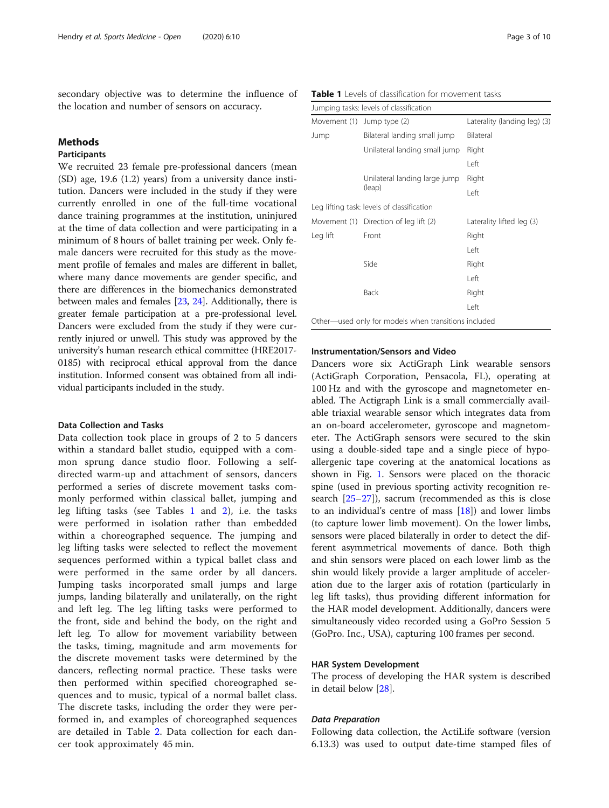<span id="page-4-0"></span>secondary objective was to determine the influence of the location and number of sensors on accuracy.

#### Methods

### Participants

We recruited 23 female pre-professional dancers (mean (SD) age, 19.6 (1.2) years) from a university dance institution. Dancers were included in the study if they were currently enrolled in one of the full-time vocational dance training programmes at the institution, uninjured at the time of data collection and were participating in a minimum of 8 hours of ballet training per week. Only female dancers were recruited for this study as the movement profile of females and males are different in ballet, where many dance movements are gender specific, and there are differences in the biomechanics demonstrated between males and females [\[23](#page-11-0), [24\]](#page-11-0). Additionally, there is greater female participation at a pre-professional level. Dancers were excluded from the study if they were currently injured or unwell. This study was approved by the university's human research ethical committee (HRE2017- 0185) with reciprocal ethical approval from the dance institution. Informed consent was obtained from all individual participants included in the study.

#### Data Collection and Tasks

Data collection took place in groups of 2 to 5 dancers within a standard ballet studio, equipped with a common sprung dance studio floor. Following a selfdirected warm-up and attachment of sensors, dancers performed a series of discrete movement tasks commonly performed within classical ballet, jumping and leg lifting tasks (see Tables 1 and [2\)](#page-5-0), i.e. the tasks were performed in isolation rather than embedded within a choreographed sequence. The jumping and leg lifting tasks were selected to reflect the movement sequences performed within a typical ballet class and were performed in the same order by all dancers. Jumping tasks incorporated small jumps and large jumps, landing bilaterally and unilaterally, on the right and left leg. The leg lifting tasks were performed to the front, side and behind the body, on the right and left leg. To allow for movement variability between the tasks, timing, magnitude and arm movements for the discrete movement tasks were determined by the dancers, reflecting normal practice. These tasks were then performed within specified choreographed sequences and to music, typical of a normal ballet class. The discrete tasks, including the order they were performed in, and examples of choreographed sequences are detailed in Table [2](#page-5-0). Data collection for each dancer took approximately 45 min.

Table 1 Levels of classification for movement tasks

|          | Jumping tasks: levels of classification              |                              |
|----------|------------------------------------------------------|------------------------------|
|          | Movement (1) Jump type (2)                           | Laterality (landing leg) (3) |
| Jump     | Bilateral landing small jump                         | Bilateral                    |
|          | Unilateral landing small jump                        | Right                        |
|          |                                                      | Left                         |
|          | Unilateral landing large jump                        | Right                        |
|          | (leap)                                               | Left                         |
|          | Leg lifting task: levels of classification           |                              |
|          | Movement (1) Direction of leg lift (2)               | Laterality lifted leg (3)    |
| Leg lift | Front                                                | Right                        |
|          |                                                      | Left                         |
|          | Side                                                 | Right                        |
|          |                                                      | Left                         |
|          | Back                                                 | Right                        |
|          |                                                      | Left                         |
|          | Other—used only for models when transitions included |                              |

### Instrumentation/Sensors and Video

Dancers wore six ActiGraph Link wearable sensors (ActiGraph Corporation, Pensacola, FL), operating at 100 Hz and with the gyroscope and magnetometer enabled. The Actigraph Link is a small commercially available triaxial wearable sensor which integrates data from an on-board accelerometer, gyroscope and magnetometer. The ActiGraph sensors were secured to the skin using a double-sided tape and a single piece of hypoallergenic tape covering at the anatomical locations as shown in Fig. [1](#page-6-0). Sensors were placed on the thoracic spine (used in previous sporting activity recognition research [\[25](#page-11-0)–[27\]](#page-11-0)), sacrum (recommended as this is close to an individual's centre of mass  $[18]$  $[18]$ ) and lower limbs (to capture lower limb movement). On the lower limbs, sensors were placed bilaterally in order to detect the different asymmetrical movements of dance. Both thigh and shin sensors were placed on each lower limb as the shin would likely provide a larger amplitude of acceleration due to the larger axis of rotation (particularly in leg lift tasks), thus providing different information for the HAR model development. Additionally, dancers were simultaneously video recorded using a GoPro Session 5 (GoPro. Inc., USA), capturing 100 frames per second.

#### HAR System Development

The process of developing the HAR system is described in detail below [[28\]](#page-11-0).

Following data collection, the ActiLife software (version 6.13.3) was used to output date-time stamped files of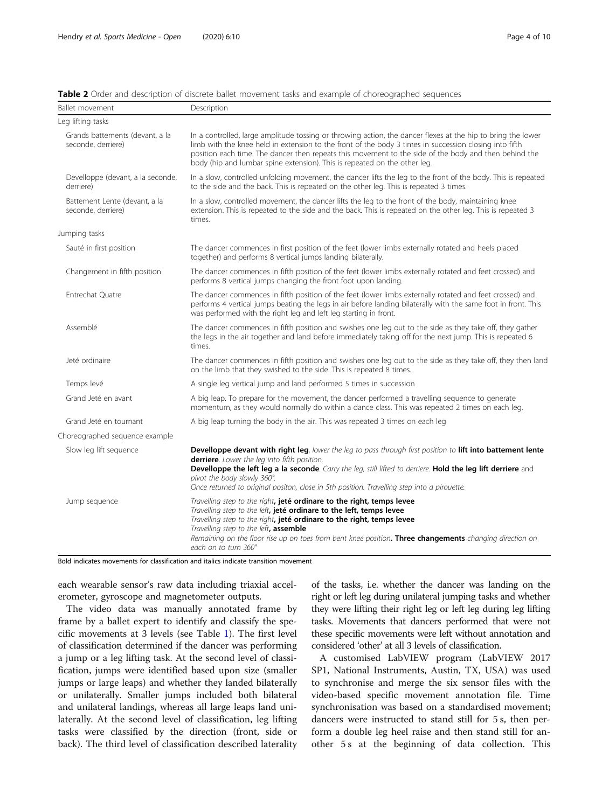|  | Page 4 or |  |
|--|-----------|--|
|  |           |  |
|  |           |  |
|  |           |  |

| <b>Ballet movement</b>                                | Description                                                                                                                                                                                                                                                                                                                                                                                                  |
|-------------------------------------------------------|--------------------------------------------------------------------------------------------------------------------------------------------------------------------------------------------------------------------------------------------------------------------------------------------------------------------------------------------------------------------------------------------------------------|
| Leg lifting tasks                                     |                                                                                                                                                                                                                                                                                                                                                                                                              |
| Grands battements (devant, a la<br>seconde, derriere) | In a controlled, large amplitude tossing or throwing action, the dancer flexes at the hip to bring the lower<br>limb with the knee held in extension to the front of the body 3 times in succession closing into fifth<br>position each time. The dancer then repeats this movement to the side of the body and then behind the<br>body (hip and lumbar spine extension). This is repeated on the other leg. |
| Develloppe (devant, a la seconde,<br>derriere)        | In a slow, controlled unfolding movement, the dancer lifts the leg to the front of the body. This is repeated<br>to the side and the back. This is repeated on the other leg. This is repeated 3 times.                                                                                                                                                                                                      |
| Battement Lente (devant, a la<br>seconde, derriere)   | In a slow, controlled movement, the dancer lifts the leg to the front of the body, maintaining knee<br>extension. This is repeated to the side and the back. This is repeated on the other leg. This is repeated 3<br>times.                                                                                                                                                                                 |
| Jumping tasks                                         |                                                                                                                                                                                                                                                                                                                                                                                                              |
| Sauté in first position                               | The dancer commences in first position of the feet (lower limbs externally rotated and heels placed<br>together) and performs 8 vertical jumps landing bilaterally.                                                                                                                                                                                                                                          |
| Changement in fifth position                          | The dancer commences in fifth position of the feet (lower limbs externally rotated and feet crossed) and<br>performs 8 vertical jumps changing the front foot upon landing.                                                                                                                                                                                                                                  |
| Entrechat Quatre                                      | The dancer commences in fifth position of the feet (lower limbs externally rotated and feet crossed) and<br>performs 4 vertical jumps beating the legs in air before landing bilaterally with the same foot in front. This<br>was performed with the right leg and left leg starting in front.                                                                                                               |
| Assemblé                                              | The dancer commences in fifth position and swishes one leg out to the side as they take off, they gather<br>the legs in the air together and land before immediately taking off for the next jump. This is repeated 6<br>times.                                                                                                                                                                              |
| Jeté ordinaire                                        | The dancer commences in fifth position and swishes one leg out to the side as they take off, they then land<br>on the limb that they swished to the side. This is repeated 8 times.                                                                                                                                                                                                                          |
| Temps levé                                            | A single leg vertical jump and land performed 5 times in succession                                                                                                                                                                                                                                                                                                                                          |
| Grand Jeté en avant                                   | A big leap. To prepare for the movement, the dancer performed a travelling sequence to generate<br>momentum, as they would normally do within a dance class. This was repeated 2 times on each leg.                                                                                                                                                                                                          |
| Grand Jeté en tournant                                | A big leap turning the body in the air. This was repeated 3 times on each leg                                                                                                                                                                                                                                                                                                                                |
| Choreographed sequence example                        |                                                                                                                                                                                                                                                                                                                                                                                                              |
| Slow leg lift sequence                                | Develloppe devant with right leg, lower the leg to pass through first position to lift into battement lente<br>derriere. Lower the leg into fifth position.<br>Develloppe the left leg a la seconde. Carry the leg, still lifted to derriere. Hold the leg lift derriere and<br>pivot the body slowly 360°.<br>Once returned to original positon, close in 5th position. Travelling step into a pirouette.   |
| Jump sequence                                         | Travelling step to the right, jeté ordinare to the right, temps levee<br>Travelling step to the left, jeté ordinare to the left, temps levee<br>Travelling step to the right, jeté ordinare to the right, temps levee<br>Travelling step to the left, assemble<br>Remaining on the floor rise up on toes from bent knee position. Three changements changing direction on<br>each on to turn 360°            |

<span id="page-5-0"></span>

| Table 2 Order and description of discrete ballet movement tasks and example of choreographed sequences |  |  |  |
|--------------------------------------------------------------------------------------------------------|--|--|--|
|--------------------------------------------------------------------------------------------------------|--|--|--|

Bold indicates movements for classification and italics indicate transition movement

each wearable sensor's raw data including triaxial accelerometer, gyroscope and magnetometer outputs.

The video data was manually annotated frame by frame by a ballet expert to identify and classify the specific movements at 3 levels (see Table [1\)](#page-4-0). The first level of classification determined if the dancer was performing a jump or a leg lifting task. At the second level of classification, jumps were identified based upon size (smaller jumps or large leaps) and whether they landed bilaterally or unilaterally. Smaller jumps included both bilateral and unilateral landings, whereas all large leaps land unilaterally. At the second level of classification, leg lifting tasks were classified by the direction (front, side or back). The third level of classification described laterality

of the tasks, i.e. whether the dancer was landing on the right or left leg during unilateral jumping tasks and whether they were lifting their right leg or left leg during leg lifting tasks. Movements that dancers performed that were not these specific movements were left without annotation and considered 'other' at all 3 levels of classification.

A customised LabVIEW program (LabVIEW 2017 SP1, National Instruments, Austin, TX, USA) was used to synchronise and merge the six sensor files with the video-based specific movement annotation file. Time synchronisation was based on a standardised movement; dancers were instructed to stand still for 5 s, then perform a double leg heel raise and then stand still for another 5 s at the beginning of data collection. This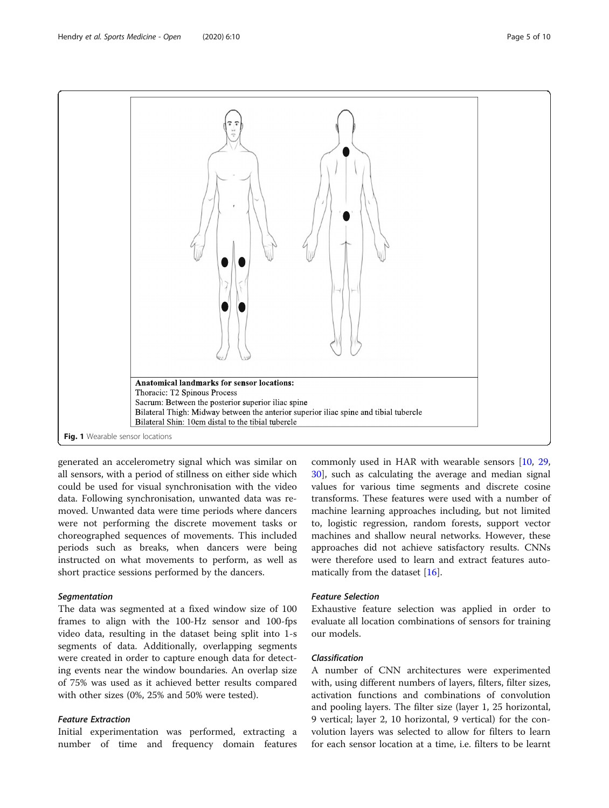<span id="page-6-0"></span>

generated an accelerometry signal which was similar on all sensors, with a period of stillness on either side which could be used for visual synchronisation with the video data. Following synchronisation, unwanted data was removed. Unwanted data were time periods where dancers were not performing the discrete movement tasks or choreographed sequences of movements. This included periods such as breaks, when dancers were being instructed on what movements to perform, as well as short practice sessions performed by the dancers.

The data was segmented at a fixed window size of 100 frames to align with the 100-Hz sensor and 100-fps video data, resulting in the dataset being split into 1-s segments of data. Additionally, overlapping segments were created in order to capture enough data for detecting events near the window boundaries. An overlap size of 75% was used as it achieved better results compared with other sizes (0%, 25% and 50% were tested).

Initial experimentation was performed, extracting a number of time and frequency domain features

commonly used in HAR with wearable sensors [[10](#page-11-0), [29](#page-11-0), [30\]](#page-11-0), such as calculating the average and median signal values for various time segments and discrete cosine transforms. These features were used with a number of machine learning approaches including, but not limited to, logistic regression, random forests, support vector machines and shallow neural networks. However, these approaches did not achieve satisfactory results. CNNs were therefore used to learn and extract features automatically from the dataset [[16](#page-11-0)].

Exhaustive feature selection was applied in order to evaluate all location combinations of sensors for training our models.

A number of CNN architectures were experimented with, using different numbers of layers, filters, filter sizes, activation functions and combinations of convolution and pooling layers. The filter size (layer 1, 25 horizontal, 9 vertical; layer 2, 10 horizontal, 9 vertical) for the convolution layers was selected to allow for filters to learn for each sensor location at a time, i.e. filters to be learnt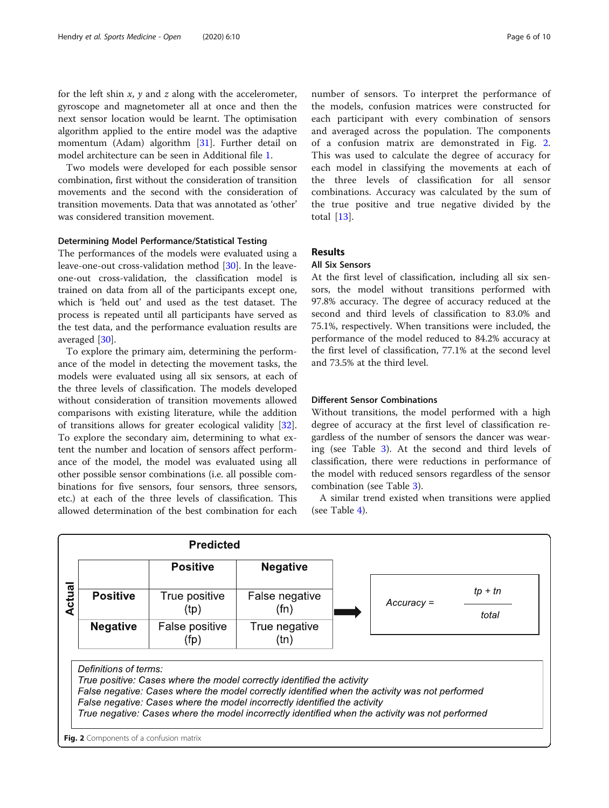for the left shin  $x$ ,  $y$  and  $z$  along with the accelerometer, gyroscope and magnetometer all at once and then the next sensor location would be learnt. The optimisation algorithm applied to the entire model was the adaptive momentum (Adam) algorithm [\[31](#page-11-0)]. Further detail on model architecture can be seen in Additional file [1.](#page-10-0)

Two models were developed for each possible sensor combination, first without the consideration of transition movements and the second with the consideration of transition movements. Data that was annotated as 'other' was considered transition movement.

#### Determining Model Performance/Statistical Testing

The performances of the models were evaluated using a leave-one-out cross-validation method [[30\]](#page-11-0). In the leaveone-out cross-validation, the classification model is trained on data from all of the participants except one, which is 'held out' and used as the test dataset. The process is repeated until all participants have served as the test data, and the performance evaluation results are averaged [\[30](#page-11-0)].

To explore the primary aim, determining the performance of the model in detecting the movement tasks, the models were evaluated using all six sensors, at each of the three levels of classification. The models developed without consideration of transition movements allowed comparisons with existing literature, while the addition of transitions allows for greater ecological validity [\[32](#page-11-0)]. To explore the secondary aim, determining to what extent the number and location of sensors affect performance of the model, the model was evaluated using all other possible sensor combinations (i.e. all possible combinations for five sensors, four sensors, three sensors, etc.) at each of the three levels of classification. This allowed determination of the best combination for each

number of sensors. To interpret the performance of the models, confusion matrices were constructed for each participant with every combination of sensors and averaged across the population. The components of a confusion matrix are demonstrated in Fig. 2. This was used to calculate the degree of accuracy for each model in classifying the movements at each of the three levels of classification for all sensor combinations. Accuracy was calculated by the sum of the true positive and true negative divided by the total [[13\]](#page-11-0).

### Results

#### All Six Sensors

At the first level of classification, including all six sensors, the model without transitions performed with 97.8% accuracy. The degree of accuracy reduced at the second and third levels of classification to 83.0% and 75.1%, respectively. When transitions were included, the performance of the model reduced to 84.2% accuracy at the first level of classification, 77.1% at the second level and 73.5% at the third level.

#### Different Sensor Combinations

Without transitions, the model performed with a high degree of accuracy at the first level of classification regardless of the number of sensors the dancer was wearing (see Table [3\)](#page-8-0). At the second and third levels of classification, there were reductions in performance of the model with reduced sensors regardless of the sensor combination (see Table [3\)](#page-8-0).

A similar trend existed when transitions were applied (see Table [4](#page-8-0)).

|        |                       | <b>Predicted</b>       |                                                                                                                                                                                                                                                       |                                                                                                 |                    |
|--------|-----------------------|------------------------|-------------------------------------------------------------------------------------------------------------------------------------------------------------------------------------------------------------------------------------------------------|-------------------------------------------------------------------------------------------------|--------------------|
|        |                       | <b>Positive</b>        | <b>Negative</b>                                                                                                                                                                                                                                       |                                                                                                 |                    |
| Actual | <b>Positive</b>       | True positive<br>(tp)  | False negative<br>(fn)                                                                                                                                                                                                                                | $Accuracy =$                                                                                    | $tp + tn$<br>total |
|        | <b>Negative</b>       | False positive<br>(fp) | True negative<br>(tn)                                                                                                                                                                                                                                 |                                                                                                 |                    |
|        | Definitions of terms: |                        | True positive: Cases where the model correctly identified the activity<br>False negative: Cases where the model correctly identified when the activity was not performed<br>False negative: Cases where the model incorrectly identified the activity |                                                                                                 |                    |
|        |                       |                        |                                                                                                                                                                                                                                                       | True negative: Cases where the model incorrectly identified when the activity was not performed |                    |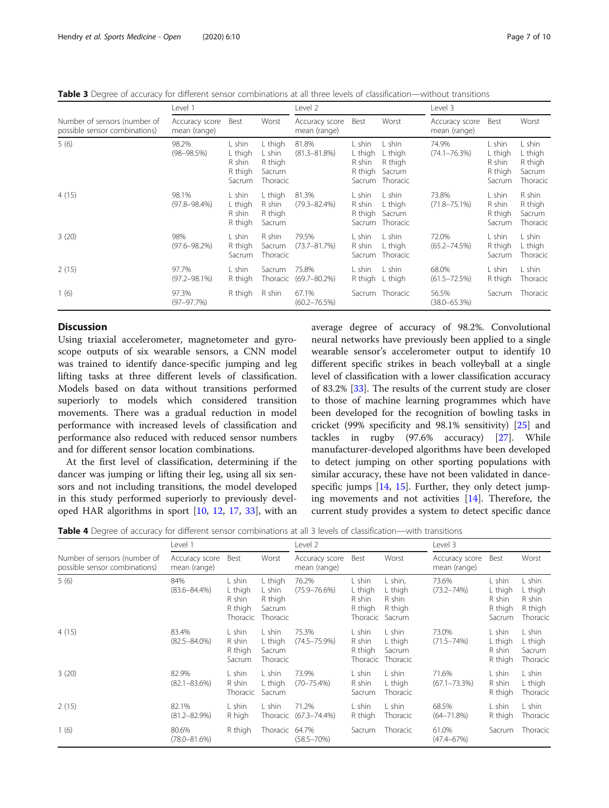<span id="page-8-0"></span>Table 3 Degree of accuracy for different sensor combinations at all three levels of classification—without transitions

|                                                               | Level 1                        |                                                  |                                                           | Level 2                        |                                        |                                                           | Level 3                        |                                                  |                                                    |
|---------------------------------------------------------------|--------------------------------|--------------------------------------------------|-----------------------------------------------------------|--------------------------------|----------------------------------------|-----------------------------------------------------------|--------------------------------|--------------------------------------------------|----------------------------------------------------|
| Number of sensors (number of<br>possible sensor combinations) | Accuracy score<br>mean (range) | Best                                             | Worst                                                     | Accuracy score<br>mean (range) | Best                                   | Worst                                                     | Accuracy score<br>mean (range) | Best                                             | Worst                                              |
| 5(6)                                                          | 98.2%<br>$(98 - 98.5\%)$       | L shin<br>L thigh<br>R shin<br>R thigh<br>Sacrum | L thigh<br>L shin<br>R thigh<br>Sacrum<br><b>Thoracic</b> | 81.8%<br>$(81.3 - 81.8\%)$     | L shin<br>L thigh<br>R shin<br>R thigh | L shin<br>L thigh<br>R thigh<br>Sacrum<br>Sacrum Thoracic | 74.9%<br>$(74.1 - 76.3%)$      | L shin<br>L thigh<br>R shin<br>R thigh<br>Sacrum | L shin<br>L thigh<br>R thigh<br>Sacrum<br>Thoracic |
| 4(15)                                                         | 98.1%<br>$(97.8 - 98.4\%)$     | L shin<br>L thigh<br>R shin<br>R thigh           | L thigh<br>R shin<br>R thigh<br>Sacrum                    | 81.3%<br>$(79.3 - 82.4\%)$     | L shin<br>R shin<br>R thigh            | L shin<br>L thigh<br>Sacrum<br>Sacrum Thoracic            | 73.8%<br>$(71.8 - 75.1\%)$     | L shin<br>R shin<br>R thigh<br>Sacrum            | R shin<br>R thigh<br>Sacrum<br>Thoracic            |
| 3(20)                                                         | 98%<br>$(97.6 - 98.2%)$        | L shin<br>R thigh<br>Sacrum                      | R shin<br>Sacrum<br>Thoracic                              | 79.5%<br>$(73.7 - 81.7%)$      | L shin<br>R shin<br>Sacrum             | L shin<br>L thigh<br>Thoracic                             | 72.0%<br>$(65.2 - 74.5%)$      | L shin<br>R thigh<br>Sacrum                      | L shin<br>L thigh<br>Thoracic                      |
| 2(15)                                                         | 97.7%<br>$(97.2 - 98.1\%)$     | L shin<br>R thigh                                | Sacrum<br>Thoracic                                        | 75.8%<br>$(69.7 - 80.2\%)$     | L shin<br>R thigh                      | L shin<br>L thigh                                         | 68.0%<br>$(61.5 - 72.5%)$      | L shin<br>R thigh                                | L shin<br>Thoracic                                 |
| 1(6)                                                          | 97.3%<br>$(97 - 97.7%)$        | R thigh                                          | R shin                                                    | 67.1%<br>$(60.2 - 76.5%)$      |                                        | Sacrum Thoracic                                           | 56.5%<br>$(38.0 - 65.3%)$      | Sacrum                                           | Thoracic                                           |

### **Discussion**

Using triaxial accelerometer, magnetometer and gyroscope outputs of six wearable sensors, a CNN model was trained to identify dance-specific jumping and leg lifting tasks at three different levels of classification. Models based on data without transitions performed superiorly to models which considered transition movements. There was a gradual reduction in model performance with increased levels of classification and performance also reduced with reduced sensor numbers and for different sensor location combinations.

At the first level of classification, determining if the dancer was jumping or lifting their leg, using all six sensors and not including transitions, the model developed in this study performed superiorly to previously developed HAR algorithms in sport [\[10](#page-11-0), [12,](#page-11-0) [17,](#page-11-0) [33\]](#page-11-0), with an average degree of accuracy of 98.2%. Convolutional neural networks have previously been applied to a single wearable sensor's accelerometer output to identify 10 different specific strikes in beach volleyball at a single level of classification with a lower classification accuracy of 83.2% [[33\]](#page-11-0). The results of the current study are closer to those of machine learning programmes which have been developed for the recognition of bowling tasks in cricket (99% specificity and 98.1% sensitivity) [[25\]](#page-11-0) and tackles in rugby (97.6% accuracy) [[27](#page-11-0)]. While manufacturer-developed algorithms have been developed to detect jumping on other sporting populations with similar accuracy, these have not been validated in dance-specific jumps [[14,](#page-11-0) [15\]](#page-11-0). Further, they only detect jumping movements and not activities  $[14]$  $[14]$ . Therefore, the current study provides a system to detect specific dance

Table 4 Degree of accuracy for different sensor combinations at all 3 levels of classification—with transitions

|                                                               | Level 1                        |                                                    |                                                    | Level 2                        |                                                    |                                                   | Level 3                        |                                                  |                                                    |
|---------------------------------------------------------------|--------------------------------|----------------------------------------------------|----------------------------------------------------|--------------------------------|----------------------------------------------------|---------------------------------------------------|--------------------------------|--------------------------------------------------|----------------------------------------------------|
| Number of sensors (number of<br>possible sensor combinations) | Accuracy score<br>mean (range) | Best                                               | Worst                                              | Accuracy score<br>mean (range) | Best                                               | Worst                                             | Accuracy score<br>mean (range) | Best                                             | Worst                                              |
| 5(6)                                                          | 84%<br>$(83.6 - 84.4\%)$       | L shin<br>L thigh<br>R shin<br>R thigh<br>Thoracic | L thigh<br>L shin<br>R thigh<br>Sacrum<br>Thoracic | 76.2%<br>$(75.9 - 76.6%)$      | L shin<br>L thigh<br>R shin<br>R thigh<br>Thoracic | L shin,<br>L thigh<br>R shin<br>R thigh<br>Sacrum | 73.6%<br>$(73.2 - 74%)$        | L shin<br>L thigh<br>R shin<br>R thigh<br>Sacrum | L shin<br>L thigh<br>R shin<br>R thigh<br>Thoracic |
| 4(15)                                                         | 83.4%<br>$(82.5 - 84.0\%)$     | L shin<br>R shin<br>R thigh<br>Sacrum              | L shin<br>L thigh<br>Sacrum<br>Thoracic            | 75.3%<br>$(74.5 - 75.9%)$      | L shin<br>R shin<br>R thigh<br>Thoracic            | L shin<br>L thigh<br>Sacrum<br>Thoracic           | 73.0%<br>$(71.5 - 74%)$        | L shin<br>L thigh<br>R shin<br>R thigh           | L shin<br>L thigh<br>Sacrum<br>Thoracic            |
| 3(20)                                                         | 82.9%<br>$(82.1 - 83.6%)$      | L shin<br>R shin<br>Thoracic                       | L shin<br>L thigh<br>Sacrum                        | 73.9%<br>$(70 - 75.4\%)$       | L shin<br>R shin<br>Sacrum                         | L shin<br>L thigh<br>Thoracic                     | 71.6%<br>$(67.1 - 73.3\%)$     | L shin<br>R shin<br>R thigh                      | L shin<br>L thigh<br>Thoracic                      |
| 2(15)                                                         | 82.1%<br>$(81.2 - 82.9%)$      | L shin<br>R high                                   | L shin<br>Thoracic                                 | 71.2%<br>$(67.3 - 74.4\%)$     | L shin<br>R thigh                                  | L shin<br>Thoracic                                | 68.5%<br>$(64 - 71.8\%)$       | L shin<br>R thigh                                | L shin<br>Thoracic                                 |
| 1(6)                                                          | 80.6%<br>$(78.0 - 81.6%)$      | R thigh                                            | Thoracic 64.7%                                     | $(58.5 - 70%)$                 | Sacrum                                             | Thoracic                                          | 61.0%<br>$(47.4 - 67%)$        | Sacrum                                           | Thoracic                                           |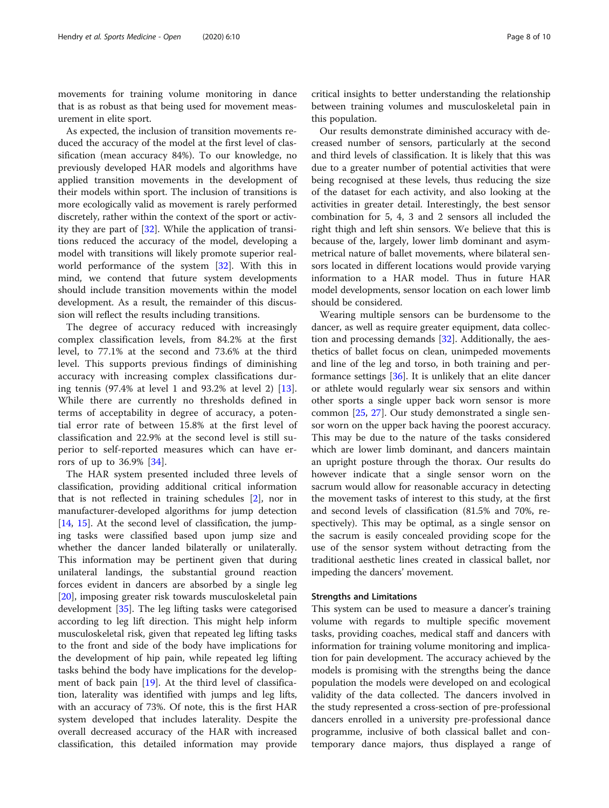movements for training volume monitoring in dance that is as robust as that being used for movement measurement in elite sport.

As expected, the inclusion of transition movements reduced the accuracy of the model at the first level of classification (mean accuracy 84%). To our knowledge, no previously developed HAR models and algorithms have applied transition movements in the development of their models within sport. The inclusion of transitions is more ecologically valid as movement is rarely performed discretely, rather within the context of the sport or activity they are part of  $[32]$  $[32]$ . While the application of transitions reduced the accuracy of the model, developing a model with transitions will likely promote superior realworld performance of the system [[32](#page-11-0)]. With this in mind, we contend that future system developments should include transition movements within the model development. As a result, the remainder of this discussion will reflect the results including transitions.

The degree of accuracy reduced with increasingly complex classification levels, from 84.2% at the first level, to 77.1% at the second and 73.6% at the third level. This supports previous findings of diminishing accuracy with increasing complex classifications during tennis (97.4% at level 1 and 93.2% at level 2) [\[13](#page-11-0)]. While there are currently no thresholds defined in terms of acceptability in degree of accuracy, a potential error rate of between 15.8% at the first level of classification and 22.9% at the second level is still superior to self-reported measures which can have errors of up to 36.9% [[34\]](#page-11-0).

The HAR system presented included three levels of classification, providing additional critical information that is not reflected in training schedules [\[2](#page-11-0)], nor in manufacturer-developed algorithms for jump detection [[14,](#page-11-0) [15](#page-11-0)]. At the second level of classification, the jumping tasks were classified based upon jump size and whether the dancer landed bilaterally or unilaterally. This information may be pertinent given that during unilateral landings, the substantial ground reaction forces evident in dancers are absorbed by a single leg [[20\]](#page-11-0), imposing greater risk towards musculoskeletal pain development [\[35\]](#page-11-0). The leg lifting tasks were categorised according to leg lift direction. This might help inform musculoskeletal risk, given that repeated leg lifting tasks to the front and side of the body have implications for the development of hip pain, while repeated leg lifting tasks behind the body have implications for the development of back pain [[19\]](#page-11-0). At the third level of classification, laterality was identified with jumps and leg lifts, with an accuracy of 73%. Of note, this is the first HAR system developed that includes laterality. Despite the overall decreased accuracy of the HAR with increased classification, this detailed information may provide

critical insights to better understanding the relationship between training volumes and musculoskeletal pain in this population.

Our results demonstrate diminished accuracy with decreased number of sensors, particularly at the second and third levels of classification. It is likely that this was due to a greater number of potential activities that were being recognised at these levels, thus reducing the size of the dataset for each activity, and also looking at the activities in greater detail. Interestingly, the best sensor combination for 5, 4, 3 and 2 sensors all included the right thigh and left shin sensors. We believe that this is because of the, largely, lower limb dominant and asymmetrical nature of ballet movements, where bilateral sensors located in different locations would provide varying information to a HAR model. Thus in future HAR model developments, sensor location on each lower limb should be considered.

Wearing multiple sensors can be burdensome to the dancer, as well as require greater equipment, data collection and processing demands [\[32\]](#page-11-0). Additionally, the aesthetics of ballet focus on clean, unimpeded movements and line of the leg and torso, in both training and performance settings  $[36]$ . It is unlikely that an elite dancer or athlete would regularly wear six sensors and within other sports a single upper back worn sensor is more common [[25,](#page-11-0) [27\]](#page-11-0). Our study demonstrated a single sensor worn on the upper back having the poorest accuracy. This may be due to the nature of the tasks considered which are lower limb dominant, and dancers maintain an upright posture through the thorax. Our results do however indicate that a single sensor worn on the sacrum would allow for reasonable accuracy in detecting the movement tasks of interest to this study, at the first and second levels of classification (81.5% and 70%, respectively). This may be optimal, as a single sensor on the sacrum is easily concealed providing scope for the use of the sensor system without detracting from the traditional aesthetic lines created in classical ballet, nor impeding the dancers' movement.

#### Strengths and Limitations

This system can be used to measure a dancer's training volume with regards to multiple specific movement tasks, providing coaches, medical staff and dancers with information for training volume monitoring and implication for pain development. The accuracy achieved by the models is promising with the strengths being the dance population the models were developed on and ecological validity of the data collected. The dancers involved in the study represented a cross-section of pre-professional dancers enrolled in a university pre-professional dance programme, inclusive of both classical ballet and contemporary dance majors, thus displayed a range of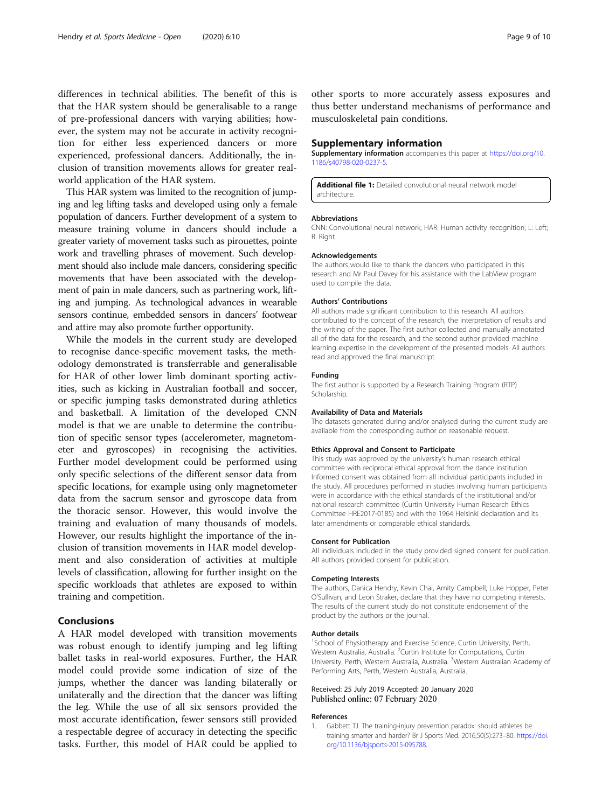<span id="page-10-0"></span>differences in technical abilities. The benefit of this is that the HAR system should be generalisable to a range of pre-professional dancers with varying abilities; however, the system may not be accurate in activity recognition for either less experienced dancers or more experienced, professional dancers. Additionally, the inclusion of transition movements allows for greater realworld application of the HAR system.

This HAR system was limited to the recognition of jumping and leg lifting tasks and developed using only a female population of dancers. Further development of a system to measure training volume in dancers should include a greater variety of movement tasks such as pirouettes, pointe work and travelling phrases of movement. Such development should also include male dancers, considering specific movements that have been associated with the development of pain in male dancers, such as partnering work, lifting and jumping. As technological advances in wearable sensors continue, embedded sensors in dancers' footwear and attire may also promote further opportunity.

While the models in the current study are developed to recognise dance-specific movement tasks, the methodology demonstrated is transferrable and generalisable for HAR of other lower limb dominant sporting activities, such as kicking in Australian football and soccer, or specific jumping tasks demonstrated during athletics and basketball. A limitation of the developed CNN model is that we are unable to determine the contribution of specific sensor types (accelerometer, magnetometer and gyroscopes) in recognising the activities. Further model development could be performed using only specific selections of the different sensor data from specific locations, for example using only magnetometer data from the sacrum sensor and gyroscope data from the thoracic sensor. However, this would involve the training and evaluation of many thousands of models. However, our results highlight the importance of the inclusion of transition movements in HAR model development and also consideration of activities at multiple levels of classification, allowing for further insight on the specific workloads that athletes are exposed to within training and competition.

#### Conclusions

A HAR model developed with transition movements was robust enough to identify jumping and leg lifting ballet tasks in real-world exposures. Further, the HAR model could provide some indication of size of the jumps, whether the dancer was landing bilaterally or unilaterally and the direction that the dancer was lifting the leg. While the use of all six sensors provided the most accurate identification, fewer sensors still provided a respectable degree of accuracy in detecting the specific tasks. Further, this model of HAR could be applied to other sports to more accurately assess exposures and thus better understand mechanisms of performance and musculoskeletal pain conditions.

#### Supplementary information

Supplementary information accompanies this paper at [https://doi.org/10.](https://doi.org/10.1186/s40798-020-0237-5) [1186/s40798-020-0237-5.](https://doi.org/10.1186/s40798-020-0237-5)

Additional file 1: Detailed convolutional neural network model architecture.

#### Abbreviations

CNN: Convolutional neural network; HAR: Human activity recognition; L: Left; R: Right

#### Acknowledgements

The authors would like to thank the dancers who participated in this research and Mr Paul Davey for his assistance with the LabView program used to compile the data.

#### Authors' Contributions

All authors made significant contribution to this research. All authors contributed to the concept of the research, the interpretation of results and the writing of the paper. The first author collected and manually annotated all of the data for the research, and the second author provided machine learning expertise in the development of the presented models. All authors read and approved the final manuscript.

#### Funding

The first author is supported by a Research Training Program (RTP) Scholarship.

#### Availability of Data and Materials

The datasets generated during and/or analysed during the current study are available from the corresponding author on reasonable request.

#### Ethics Approval and Consent to Participate

This study was approved by the university's human research ethical committee with reciprocal ethical approval from the dance institution. Informed consent was obtained from all individual participants included in the study. All procedures performed in studies involving human participants were in accordance with the ethical standards of the institutional and/or national research committee (Curtin University Human Research Ethics Committee HRE2017-0185) and with the 1964 Helsinki declaration and its later amendments or comparable ethical standards.

#### Consent for Publication

All individuals included in the study provided signed consent for publication. All authors provided consent for publication.

#### Competing Interests

The authors, Danica Hendry, Kevin Chai, Amity Campbell, Luke Hopper, Peter O'Sullivan, and Leon Straker, declare that they have no competing interests. The results of the current study do not constitute endorsement of the product by the authors or the journal.

#### Author details

<sup>1</sup>School of Physiotherapy and Exercise Science, Curtin University, Perth, Western Australia, Australia. <sup>2</sup>Curtin Institute for Computations, Curtin University, Perth, Western Australia, Australia. <sup>3</sup>Western Australian Academy of Performing Arts, Perth, Western Australia, Australia.

#### Received: 25 July 2019 Accepted: 20 January 2020 Published online: 07 February 2020

#### References

Gabbett TJ. The training-injury prevention paradox: should athletes be training smarter and harder? Br J Sports Med. 2016;50(5):273–80. [https://doi.](https://doi.org/10.1136/bjsports-2015-095788) [org/10.1136/bjsports-2015-095788.](https://doi.org/10.1136/bjsports-2015-095788)